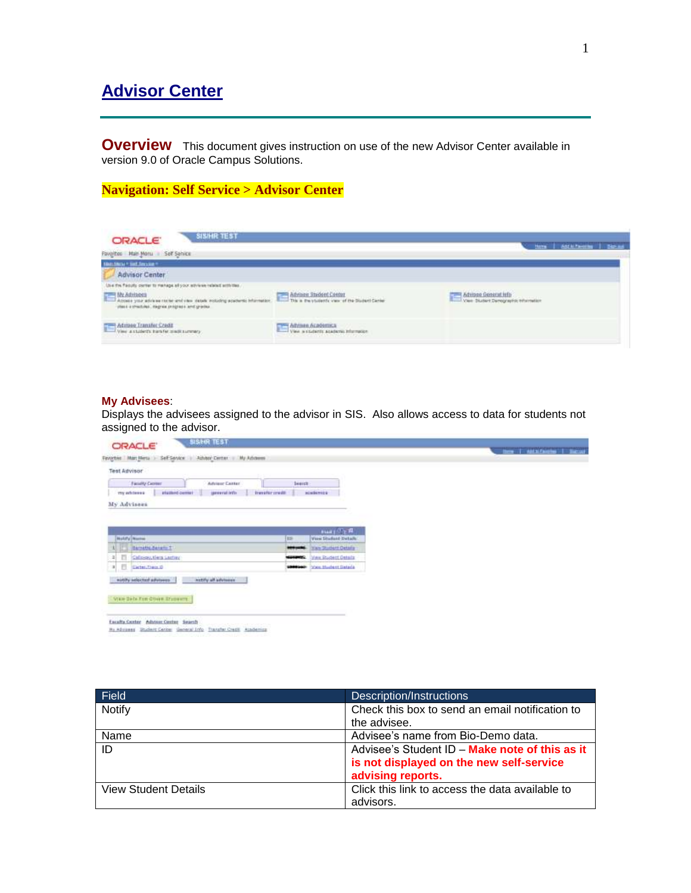# **Advisor Center**

**Overview** This document gives instruction on use of the new Advisor Center available in version 9.0 of Oracle Campus Solutions.

# **Navigation: Self Service > Advisor Center**

| <b>SISHRTEST</b><br><b>ORACLE</b><br>Favoltos Itali Manu I Self Senice                                                                                                                                                        |                                                                                                | Here   Additioning   Bistant                               |
|-------------------------------------------------------------------------------------------------------------------------------------------------------------------------------------------------------------------------------|------------------------------------------------------------------------------------------------|------------------------------------------------------------|
| <b>TRAINING * SAT SHOULD **</b><br><b>Advisor Center</b>                                                                                                                                                                      |                                                                                                |                                                            |
| Use the field of partie to menings all your advises related activities.<br>Abbase you advance colorer and we cause entity applies interesting. This a this student Center.<br>: closs a check res. degree progress and grades |                                                                                                | Maisee Generativity<br>View Sudert Demographic Information |
| TIME International Search Free<br>View a state its bander made survey                                                                                                                                                         | Advises Acedemica<br>View a students academy information<br>생활 이 사람들은 일을 하지 않아 보이지 않아 보이지 않았다. |                                                            |

#### **My Advisees**:

Displays the advisees assigned to the advisor in SIS. Also allows access to data for students not assigned to the advisor.

| <b>ORACLE</b>                               | <b>SISHIR TEST</b><br>Financies Marc Merca - Self-Service - Advisor Center. - My Adviseres |                   |                                                                                |  |  | three I sathifainted I baccot |
|---------------------------------------------|--------------------------------------------------------------------------------------------|-------------------|--------------------------------------------------------------------------------|--|--|-------------------------------|
| <b>Test Advisor</b>                         |                                                                                            |                   |                                                                                |  |  |                               |
| Faculty Cermer                              | Advisor Catter:                                                                            | learch            |                                                                                |  |  |                               |
| station center<br>my address in             | speweral infin<br>traveler credit                                                          |                   | <b>BORDETICS</b>                                                               |  |  |                               |
| My Advisees                                 |                                                                                            |                   |                                                                                |  |  |                               |
| <b>Hutzfy Nazzur</b><br>Barnette Banario T1 |                                                                                            | <b>TB</b>         | <b>HALL CLERK</b><br><b>View Student Details:</b><br><b>New Student Oetaly</b> |  |  |                               |
|                                             |                                                                                            |                   |                                                                                |  |  |                               |
| 西<br>Calicer, there Lastay                  |                                                                                            | <b>STATISTICS</b> | <b>View Budent Getals</b>                                                      |  |  |                               |
| в<br>Cartes, Trais D<br>$\vert x \vert$     |                                                                                            | -                 | <b>More Muslest Gatada</b>                                                     |  |  |                               |
|                                             |                                                                                            |                   |                                                                                |  |  |                               |

| Field                       | Description/Instructions                        |
|-----------------------------|-------------------------------------------------|
| Notify                      | Check this box to send an email notification to |
|                             | the advisee.                                    |
| Name                        | Advisee's name from Bio-Demo data.              |
| ID                          | Advisee's Student ID - Make note of this as it  |
|                             | is not displayed on the new self-service        |
|                             | advising reports.                               |
| <b>View Student Details</b> | Click this link to access the data available to |
|                             | advisors.                                       |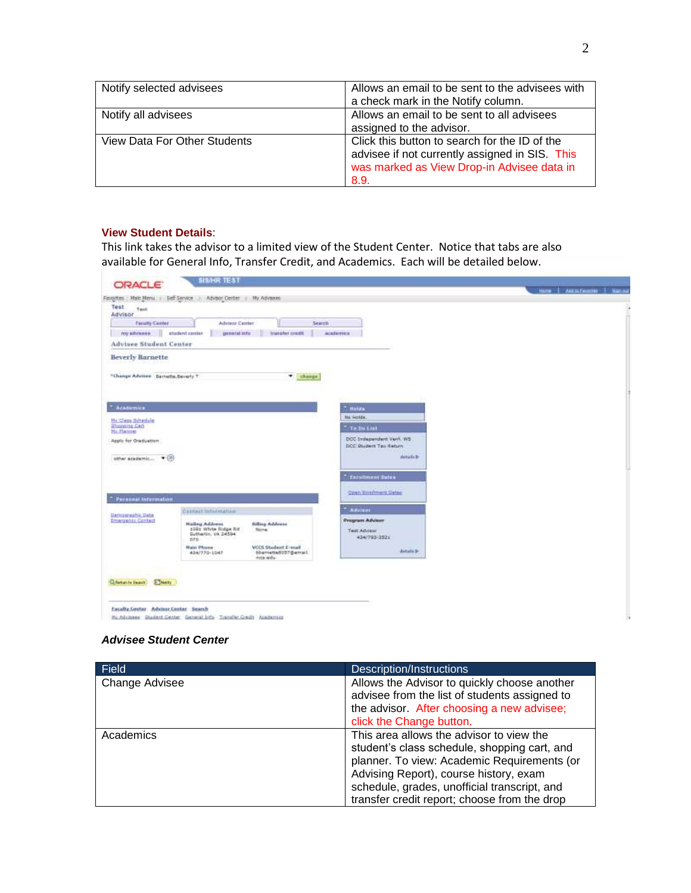| Notify selected advisees     | Allows an email to be sent to the advisees with                                                                                                       |
|------------------------------|-------------------------------------------------------------------------------------------------------------------------------------------------------|
|                              | a check mark in the Notify column.                                                                                                                    |
| Notify all advisees          | Allows an email to be sent to all advisees                                                                                                            |
|                              | assigned to the advisor.                                                                                                                              |
| View Data For Other Students | Click this button to search for the ID of the<br>advisee if not currently assigned in SIS. This<br>was marked as View Drop-in Advisee data in<br>8.9. |

#### **View Student Details**:

This link takes the advisor to a limited view of the Student Center. Notice that tabs are also available for General Info, Transfer Credit, and Academics. Each will be detailed below.

| Faculty Canter                                |                                                                                          |                                                       |  |
|-----------------------------------------------|------------------------------------------------------------------------------------------|-------------------------------------------------------|--|
|                                               | Advisor Center<br>Starch                                                                 |                                                       |  |
| my athresses.                                 | stadent probets<br>contineral india<br>transfer credit                                   | academica                                             |  |
| <b>Advisee Student Center</b>                 |                                                                                          |                                                       |  |
| <b>Beverly Barnette</b>                       |                                                                                          |                                                       |  |
|                                               |                                                                                          |                                                       |  |
| "Change Advises Barnette, Benefy T.           | * chasse                                                                                 |                                                       |  |
|                                               |                                                                                          |                                                       |  |
|                                               |                                                                                          |                                                       |  |
| <b>Academics</b>                              |                                                                                          | <b>Hulds</b>                                          |  |
| <b>Hr Cess Schedule</b><br>Shazping Cart      |                                                                                          | MA Holds.                                             |  |
| <b>Ma Planner</b>                             |                                                                                          | "To be List                                           |  |
| Apply for Oraduation                          |                                                                                          | DCC Impapandent Vent. WS<br>DCC Student Tax Aetum     |  |
|                                               |                                                                                          | <b><i>CONTRACTOR</i></b><br>details b                 |  |
| other anademin * (X)                          |                                                                                          |                                                       |  |
|                                               |                                                                                          | <b>Excutiment Sales</b>                               |  |
|                                               |                                                                                          |                                                       |  |
| <b>Personal Information</b>                   |                                                                                          | <b>Cost Emfiment Dates</b><br><b>Committed County</b> |  |
|                                               | Comet istornation                                                                        | Advisor                                               |  |
| Darmoscuphic Data<br><b>Emergency Contect</b> |                                                                                          | <b>Program Advisor</b>                                |  |
|                                               | <b>Billing Address</b><br><b>Malling Address</b><br>1081 White Ridge Rd<br>Sona          | Test Advisor                                          |  |
|                                               | Sutherlin, VA 24594<br>pro.                                                              | 434/703-3521                                          |  |
|                                               |                                                                                          |                                                       |  |
|                                               | <b>Hain Phone:</b><br><b>VCCS Student E-mail</b><br>bbarnetted037@email.<br>434/770-1047 | details in                                            |  |

#### *Advisee Student Center*

| Field          | Description/Instructions                                                                                                                                                                                                                                                          |
|----------------|-----------------------------------------------------------------------------------------------------------------------------------------------------------------------------------------------------------------------------------------------------------------------------------|
| Change Advisee | Allows the Advisor to quickly choose another<br>advisee from the list of students assigned to<br>the advisor. After choosing a new advisee;<br>click the Change button.                                                                                                           |
| Academics      | This area allows the advisor to view the<br>student's class schedule, shopping cart, and<br>planner. To view: Academic Requirements (or<br>Advising Report), course history, exam<br>schedule, grades, unofficial transcript, and<br>transfer credit report; choose from the drop |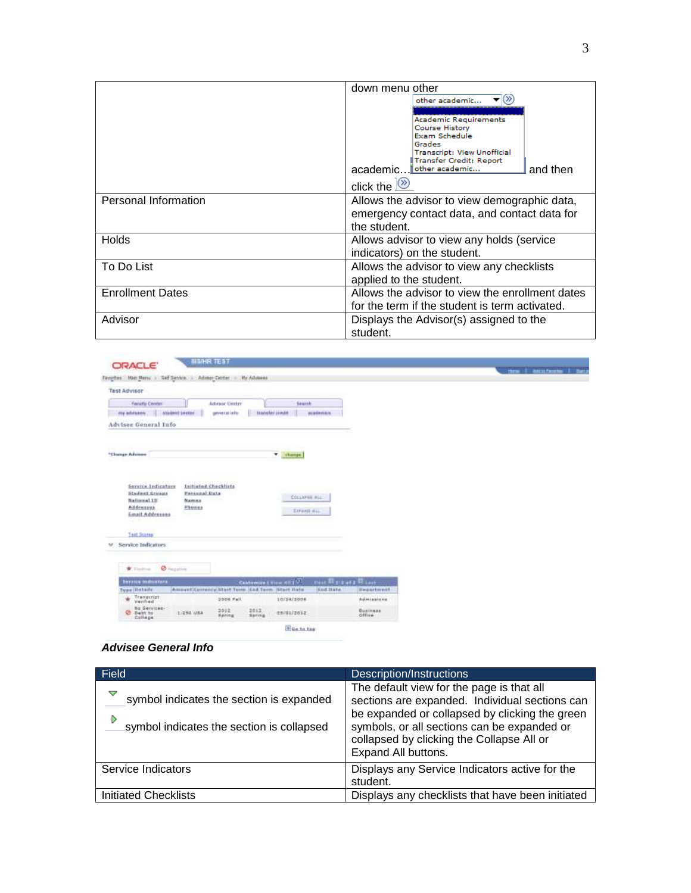|                         | down menu other<br>other academic                                                                                                                                                                             |
|-------------------------|---------------------------------------------------------------------------------------------------------------------------------------------------------------------------------------------------------------|
|                         | <b>Academic Requirements</b><br><b>Course History</b><br>Exam Schedule<br>Grades<br><b>Transcript: View Unofficial</b><br>Transfer Credit: Report<br>other academic<br>academic<br>and then<br>click the $\&$ |
| Personal Information    | Allows the advisor to view demographic data,<br>emergency contact data, and contact data for<br>the student.                                                                                                  |
| <b>Holds</b>            | Allows advisor to view any holds (service<br>indicators) on the student.                                                                                                                                      |
| To Do List              | Allows the advisor to view any checklists<br>applied to the student.                                                                                                                                          |
| <b>Enrollment Dates</b> | Allows the advisor to view the enrollment dates<br>for the term if the student is term activated.                                                                                                             |
| Advisor                 | Displays the Advisor(s) assigned to the<br>student.                                                                                                                                                           |

|                                                                 |                                                   |                     |                            |  | three Il estatement I that |
|-----------------------------------------------------------------|---------------------------------------------------|---------------------|----------------------------|--|----------------------------|
| Favorbes Mais Hersal > Set Service   Advect Center > My Advenue |                                                   |                     |                            |  |                            |
| Test Advisor                                                    |                                                   |                     |                            |  |                            |
| <b>Faculty Cerritor</b>                                         | Artenor Center                                    | Seuth               |                            |  |                            |
| <b>Student penter</b><br>my advisores :                         | <b>Hwister Ireds</b><br>geverations.              | materian            |                            |  |                            |
| Advisee General Info                                            |                                                   |                     |                            |  |                            |
|                                                                 |                                                   |                     |                            |  |                            |
|                                                                 |                                                   |                     |                            |  |                            |
| *Chunge Adviser                                                 |                                                   | v change            |                            |  |                            |
|                                                                 |                                                   |                     |                            |  |                            |
|                                                                 |                                                   |                     |                            |  |                            |
| Service Indicators<br><b>Luitisted Checklists</b>               |                                                   |                     |                            |  |                            |
|                                                                 |                                                   |                     |                            |  |                            |
| Stedent Greens<br><b>Extend Data</b>                            |                                                   |                     |                            |  |                            |
| <b>National LU</b><br>Mamus                                     |                                                   | COLLAPSE ALL        |                            |  |                            |
| Addresses<br>Phones<br>-36                                      |                                                   | LOWER BLL           |                            |  |                            |
| Email Addresses<br>GRIL SOOV                                    |                                                   |                     |                            |  |                            |
|                                                                 |                                                   |                     |                            |  |                            |
| Test Scotes                                                     |                                                   |                     |                            |  |                            |
| se Service Indicators                                           |                                                   |                     |                            |  |                            |
|                                                                 |                                                   |                     |                            |  |                            |
| * Control & Harpins                                             |                                                   |                     |                            |  |                            |
| <b>Service members</b>                                          | Castomera   View all   J                          | First Warmers Where |                            |  |                            |
| <b>Tyan Illetaile</b>                                           | Amount/Corrency/Start Term (God Term (Start Itate | <b>Kod Bate</b>     | <b>Beastdonet</b>          |  |                            |
| Transcript<br>Verified<br>×                                     | 2006 Fall                                         | 10/24/2006          | Admissions                 |  |                            |
| No Services-1<br>C Dent to:<br>1.290 USA<br>Callege             | 3012<br>2012:<br><b>Baring</b><br><b>Sating</b>   | 01001/2012          | <b>Business</b><br>office. |  |                            |

### *Advisee General Info*

| Field                                                                                      | Description/Instructions                                                                                                                                                                                                                                         |
|--------------------------------------------------------------------------------------------|------------------------------------------------------------------------------------------------------------------------------------------------------------------------------------------------------------------------------------------------------------------|
| symbol indicates the section is expanded<br>D<br>symbol indicates the section is collapsed | The default view for the page is that all<br>sections are expanded. Individual sections can<br>be expanded or collapsed by clicking the green<br>symbols, or all sections can be expanded or<br>collapsed by clicking the Collapse All or<br>Expand All buttons. |
| Service Indicators                                                                         | Displays any Service Indicators active for the<br>student.                                                                                                                                                                                                       |
| Initiated Checklists                                                                       | Displays any checklists that have been initiated                                                                                                                                                                                                                 |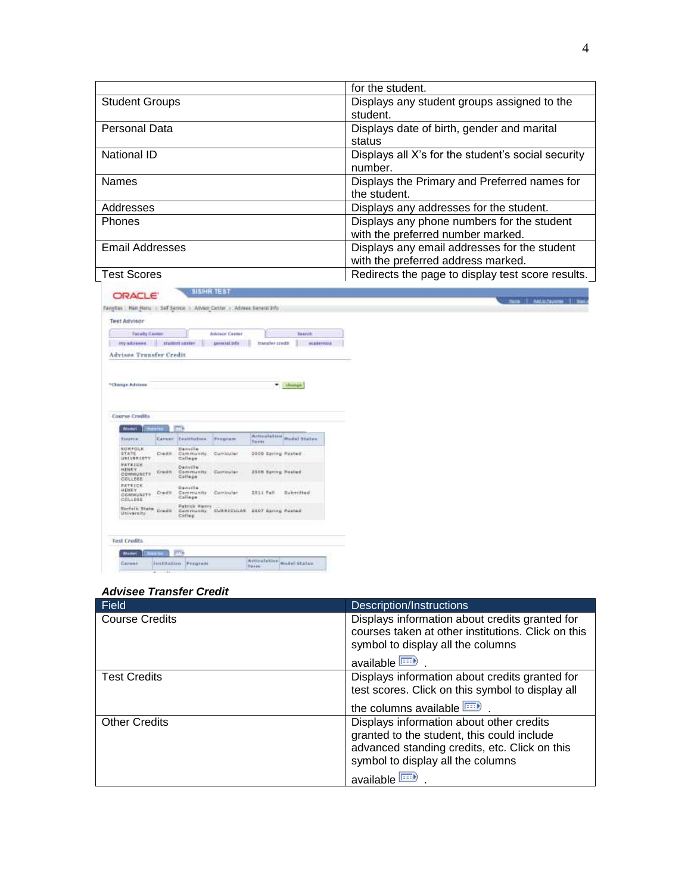|                               | for the student.                                   |
|-------------------------------|----------------------------------------------------|
| <b>Student Groups</b>         | Displays any student groups assigned to the        |
|                               | student.                                           |
| <b>Personal Data</b>          | Displays date of birth, gender and marital         |
|                               | status                                             |
| National ID                   | Displays all X's for the student's social security |
|                               | number.                                            |
| <b>Names</b>                  | Displays the Primary and Preferred names for       |
|                               | the student.                                       |
| Addresses                     | Displays any addresses for the student.            |
| <b>Phones</b>                 | Displays any phone numbers for the student         |
|                               | with the preferred number marked.                  |
| <b>Email Addresses</b>        | Displays any email addresses for the student       |
|                               | with the preferred address marked.                 |
| <b>Test Scores</b>            | Redirects the page to display test score results.  |
| <b>SISIHR TEST</b><br>CONTACT |                                                    |

| <b>Taxabs Center</b>               |          |                                                                       | <b>Advisor Caster</b> |                           | <b>bearch</b>       |
|------------------------------------|----------|-----------------------------------------------------------------------|-----------------------|---------------------------|---------------------|
| <b>ITY atlanes</b>                 |          | station sayler                                                        | speed tal infor       | transfer credit           | <b>MADEFIATA</b>    |
| Advises Texnsfer Credit            |          |                                                                       |                       |                           |                     |
|                                    |          |                                                                       |                       |                           |                     |
|                                    |          |                                                                       |                       |                           |                     |
| <sup>4</sup> Change Advises        |          |                                                                       |                       |                           | * about             |
|                                    |          |                                                                       |                       |                           |                     |
|                                    |          |                                                                       |                       |                           |                     |
| <b>Course Credits</b>              |          |                                                                       |                       |                           |                     |
|                                    |          | me                                                                    |                       |                           |                     |
| Model                              |          |                                                                       |                       | <b>Artissiation</b>       |                     |
| <b>Business</b>                    |          | Career Institution                                                    | Principlate           | Farm                      | <b>Model States</b> |
| NORFOLK<br>STATE.                  |          | Densille<br>Credit Community Curricular                               |                       | 2000 Sering Posted        |                     |
| UMIVERIETY                         |          | Callage                                                               |                       |                           |                     |
|                                    |          | Dansille                                                              | Carrinalan            | 2006 Sating States        |                     |
| <b>PATRICE</b><br><b>HENRY</b>     |          |                                                                       |                       |                           |                     |
| COMMUNITY<br><b>SDITION</b>        | Creative | Community.<br>College                                                 |                       |                           |                     |
| <b>DATEICK</b>                     |          | Demille                                                               |                       |                           |                     |
| HENRY.<br>COMMUSITY                | Credit : | Community Curricular<br>College                                       |                       | 2011 Fall                 | Submitted           |
| COLLEGE                            |          |                                                                       |                       |                           |                     |
| <b>Norfolk Blota</b><br>Université | Credit   | Fatrick Hanry<br>Geneverity CMARICULAR 2007 Earling Postal<br>Colleg: |                       |                           |                     |
| -23.00                             |          |                                                                       |                       |                           |                     |
|                                    |          |                                                                       |                       |                           |                     |
|                                    |          |                                                                       |                       |                           |                     |
| <b>Test Credits</b>                |          |                                                                       |                       |                           |                     |
| Madwi                              |          | <b>PTT&amp;</b>                                                       |                       | Articulation Hadel Statue |                     |

## *Advisee Transfer Credit*

| Field                 | Description/Instructions                                                                                                                |
|-----------------------|-----------------------------------------------------------------------------------------------------------------------------------------|
| <b>Course Credits</b> | Displays information about credits granted for<br>courses taken at other institutions. Click on this                                    |
|                       | symbol to display all the columns                                                                                                       |
|                       | available                                                                                                                               |
| <b>Test Credits</b>   | Displays information about credits granted for                                                                                          |
|                       | test scores. Click on this symbol to display all                                                                                        |
|                       | the columns available $\boxed{\cdots}$ .                                                                                                |
| <b>Other Credits</b>  | Displays information about other credits<br>granted to the student, this could include<br>advanced standing credits, etc. Click on this |
|                       | symbol to display all the columns                                                                                                       |
|                       | available <b>FEED</b>                                                                                                                   |

.<br>See | Militare | Tata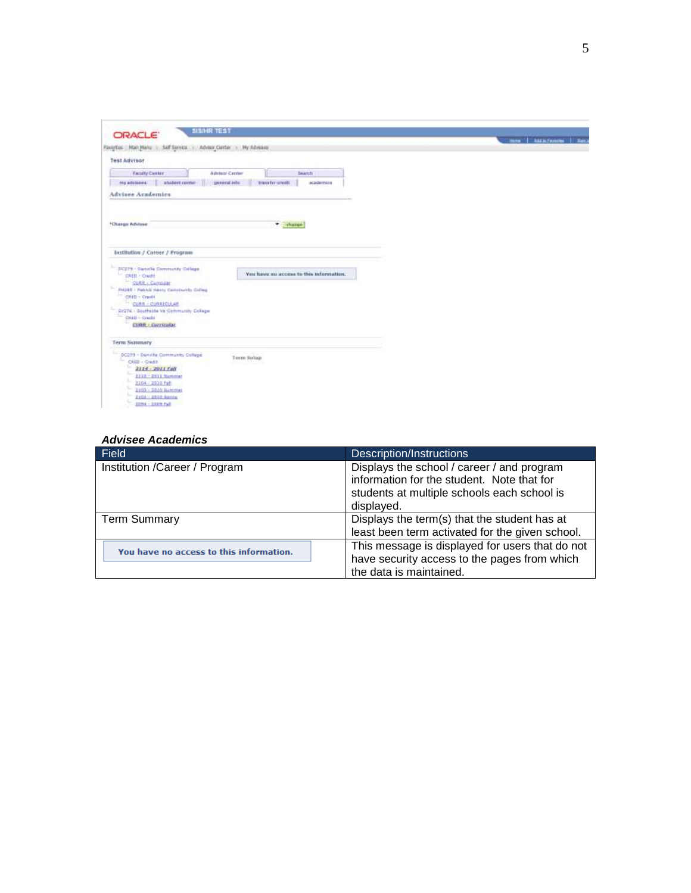| SIDNR TEST<br><b>ORACLE</b>                                                     |                |
|---------------------------------------------------------------------------------|----------------|
|                                                                                 | mar   MELTHING |
| Faxerbas Matchlane - Saff Service - Advice Center - My Advisers                 |                |
| <b>Test Advisor</b>                                                             |                |
| Faculty Custos<br><b>Advisor Center</b><br>Saarch.                              |                |
| abalent center<br>general sets<br>transfer greats<br>ing advisers.<br>academina |                |
| <b>Advisee Academics</b>                                                        |                |
|                                                                                 |                |
| <sup>4</sup> Charge Advises<br>· chases                                         |                |
|                                                                                 |                |
| <b>Destibution / Career / Program</b>                                           |                |
| (IC279 - Danisle Commonity College)                                             |                |
| You have no access to this information.<br>CAED - Oudit                         |                |
| CUAR - Cumpilar                                                                 |                |
| <b>PH2ES - Retirel Herry Community Calleg</b>                                   |                |
| CRED - Credit<br>CURR - CURRICULAR                                              |                |
| 91276 - Southaide Va Community College                                          |                |
|                                                                                 |                |
|                                                                                 |                |
| CARD - Chadit<br>Ð.<br>CURR - Curricular                                        |                |
|                                                                                 |                |
| DC279 - Devolks Community College                                               |                |
| Term Setup<br>$C0$ Ell - Credit                                                 |                |
| u<br>2114 - 2011 fall                                                           |                |
| 2228 - 2011 Nummer                                                              |                |
| <b>Term Summary</b><br>2104 - 2010 Fall                                         |                |
| 2103 - 2010 Barrimer<br>2102 - 2110 April                                       |                |

#### *Advisee Academics*

| Field                                   | <b>Description/Instructions</b>                                                                                                                       |
|-----------------------------------------|-------------------------------------------------------------------------------------------------------------------------------------------------------|
| Institution /Career / Program           | Displays the school / career / and program<br>information for the student. Note that for<br>students at multiple schools each school is<br>displayed. |
| <b>Term Summary</b>                     | Displays the term(s) that the student has at<br>least been term activated for the given school.                                                       |
| You have no access to this information. | This message is displayed for users that do not<br>have security access to the pages from which<br>the data is maintained.                            |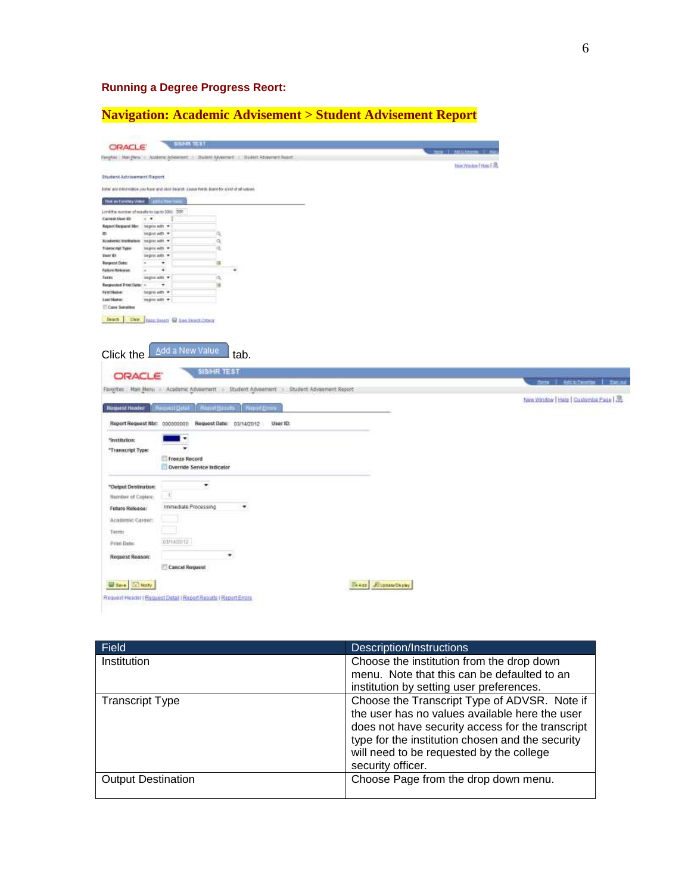# **Running a Degree Progress Reort:**

**Navigation: Academic Advisement > Student Advisement Report**

| <b>ORACLE</b>                                                                                                                                         |                                                                                               |                       |               |                                                                                             |                         | <b>CALL AND CARD STREET</b> |                                    |
|-------------------------------------------------------------------------------------------------------------------------------------------------------|-----------------------------------------------------------------------------------------------|-----------------------|---------------|---------------------------------------------------------------------------------------------|-------------------------|-----------------------------|------------------------------------|
|                                                                                                                                                       | Fanghei: Han (New 1) Academic Advanced: 1) Shadest Advanced: 11 Shadest Advanced: Report      |                       |               |                                                                                             |                         | tion WarkerTrivio [38]      |                                    |
| Student Advisement Report                                                                                                                             |                                                                                               |                       |               |                                                                                             |                         |                             |                                    |
|                                                                                                                                                       |                                                                                               |                       |               |                                                                                             |                         |                             |                                    |
|                                                                                                                                                       | inter any information you have and clock frearch. Leave fireds stank for a lot of all waters. |                       |               |                                                                                             |                         |                             |                                    |
| The automorphise - Egilia Novities                                                                                                                    |                                                                                               |                       |               |                                                                                             |                         |                             |                                    |
| (PO) : (OC of operating the section of the later).                                                                                                    |                                                                                               |                       |               |                                                                                             |                         |                             |                                    |
| Carvest User 13:<br>$x - x$                                                                                                                           |                                                                                               |                       |               |                                                                                             |                         |                             |                                    |
| Report Request Max : begins with =                                                                                                                    |                                                                                               |                       |               |                                                                                             |                         |                             |                                    |
| legis am. *<br>Academic Intellation: traging ants                                                                                                     |                                                                                               | ja,                   |               |                                                                                             |                         |                             |                                    |
| <b>Francischer Types</b><br>to pro with                                                                                                               |                                                                                               | a                     |               |                                                                                             |                         |                             |                                    |
| iner Ki.<br>Segnitude *                                                                                                                               |                                                                                               |                       |               |                                                                                             |                         |                             |                                    |
| <b>Respect Date:</b>                                                                                                                                  | ۰                                                                                             | 谦                     |               |                                                                                             |                         |                             |                                    |
| Fatiers Hotepier                                                                                                                                      | ٠                                                                                             | ٠                     |               |                                                                                             |                         |                             |                                    |
| Torp:<br>Ingra ARL Y                                                                                                                                  |                                                                                               | a                     |               |                                                                                             |                         |                             |                                    |
| Requested Print Date: +                                                                                                                               | ۰                                                                                             | 蒲                     |               |                                                                                             |                         |                             |                                    |
| <b>Hirst Rame:</b><br>begreb with #<br>Last Name:                                                                                                     | signs with #1                                                                                 |                       |               |                                                                                             |                         |                             |                                    |
| Care Senators                                                                                                                                         |                                                                                               |                       |               |                                                                                             |                         |                             |                                    |
|                                                                                                                                                       |                                                                                               |                       |               |                                                                                             |                         |                             |                                    |
|                                                                                                                                                       | Add a New Value                                                                               |                       |               |                                                                                             |                         |                             |                                    |
| Click the<br><b>ORACLE</b>                                                                                                                            |                                                                                               | tab.<br>SISHR TEST    |               |                                                                                             |                         |                             |                                    |
|                                                                                                                                                       |                                                                                               |                       |               | Favorites   Man Meru - Academic Advisement - Student Advisement - Student Advisement Report |                         |                             | three distributions I Secure       |
|                                                                                                                                                       |                                                                                               |                       |               |                                                                                             |                         |                             | tiew thindow Help   Customize Page |
| <b>Request Header</b>                                                                                                                                 | <b><i>Insurat Dalarit</i></b>                                                                 | <b>Regist Hangley</b> | <b>PERMIT</b> |                                                                                             |                         |                             |                                    |
|                                                                                                                                                       |                                                                                               |                       |               |                                                                                             |                         |                             |                                    |
|                                                                                                                                                       | Report Request Nbr. 000000000 Request Date: 03/14/2012                                        |                       | User (D.      |                                                                                             |                         |                             |                                    |
|                                                                                                                                                       | ٠                                                                                             |                       |               |                                                                                             |                         |                             |                                    |
|                                                                                                                                                       |                                                                                               |                       |               |                                                                                             |                         |                             |                                    |
|                                                                                                                                                       | Freeze Record                                                                                 |                       |               |                                                                                             |                         |                             |                                    |
|                                                                                                                                                       | Dverride Service Indicator                                                                    |                       |               |                                                                                             |                         |                             |                                    |
|                                                                                                                                                       |                                                                                               |                       |               |                                                                                             |                         |                             |                                    |
|                                                                                                                                                       |                                                                                               | ×                     |               |                                                                                             |                         |                             |                                    |
|                                                                                                                                                       | P.                                                                                            |                       |               |                                                                                             |                         |                             |                                    |
|                                                                                                                                                       | Immediate Processing                                                                          | ٠                     |               |                                                                                             |                         |                             |                                    |
|                                                                                                                                                       |                                                                                               |                       |               |                                                                                             |                         |                             |                                    |
|                                                                                                                                                       |                                                                                               |                       |               |                                                                                             |                         |                             |                                    |
|                                                                                                                                                       | 03/14/2012                                                                                    |                       |               |                                                                                             |                         |                             |                                    |
| "institution:<br>"Transcript Type:<br>"Output Destination:<br>Number of Copies:<br>Future Release:<br>Асабитис Сагоег:<br>Tarm:<br><b>Print Date:</b> |                                                                                               |                       |               |                                                                                             |                         |                             |                                    |
| Request Reason:                                                                                                                                       |                                                                                               | ÷.                    |               |                                                                                             |                         |                             |                                    |
|                                                                                                                                                       | Cancel Request                                                                                |                       |               |                                                                                             |                         |                             |                                    |
| Sere [El Norty]                                                                                                                                       |                                                                                               |                       |               |                                                                                             | Se Ann Allupeate Deploy |                             |                                    |

| <b>Field</b>              | Description/Instructions                         |
|---------------------------|--------------------------------------------------|
| Institution               | Choose the institution from the drop down        |
|                           | menu. Note that this can be defaulted to an      |
|                           | institution by setting user preferences.         |
| <b>Transcript Type</b>    | Choose the Transcript Type of ADVSR. Note if     |
|                           | the user has no values available here the user   |
|                           | does not have security access for the transcript |
|                           | type for the institution chosen and the security |
|                           | will need to be requested by the college         |
|                           | security officer.                                |
| <b>Output Destination</b> | Choose Page from the drop down menu.             |
|                           |                                                  |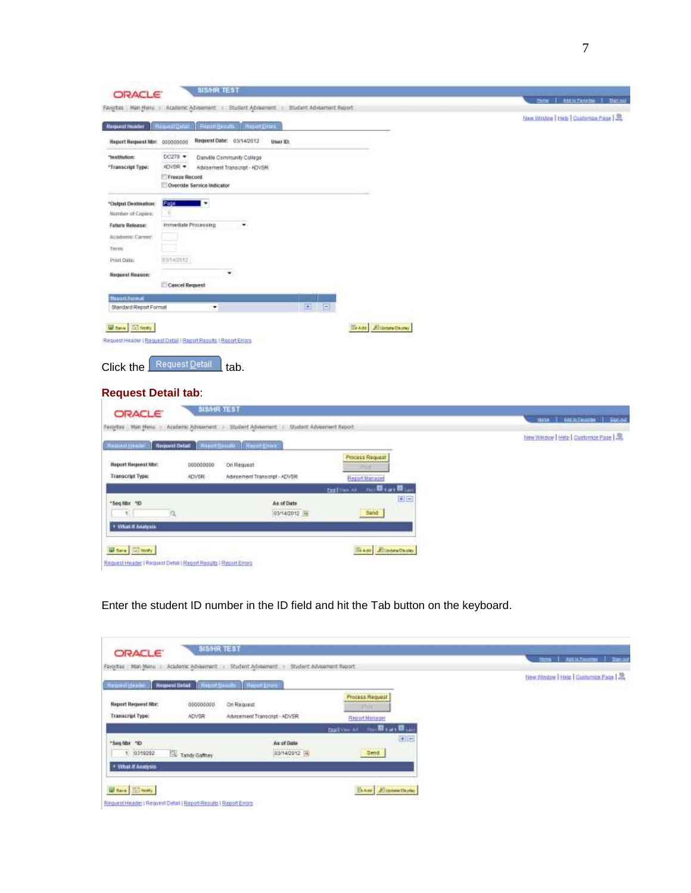|                                                                                 | Favoritas Main None - Academic Advisement - Student Advisement - Student Advisement Report | <b>Home   Add to Fundabus</b>          |
|---------------------------------------------------------------------------------|--------------------------------------------------------------------------------------------|----------------------------------------|
| Request Hoader                                                                  | <b>RiguettOin</b><br>Report Hersch Rodor Gron                                              | New Wodow   Hab   Customize Page   St  |
| Neport Request Nbr: 000000000                                                   | Request Date: 03/14/2012<br>User II:                                                       |                                        |
| "Institution:                                                                   | $DC270$ $\rightarrow$<br>Darwille Community College                                        |                                        |
| "Transcript Type:                                                               | ADVSR =<br>Advisement Transcript - ADVSR                                                   |                                        |
|                                                                                 | Freeze Record<br>Override Service Indicator                                                |                                        |
| *Output Destination:                                                            | . .<br>Page                                                                                |                                        |
| Number of Copies:                                                               | -11                                                                                        |                                        |
| <b>Future Release:</b><br>Academic Career:                                      | Immediate Processing<br>٠                                                                  |                                        |
| Tieren:                                                                         |                                                                                            |                                        |
| Print Date:                                                                     | 83/14/2012                                                                                 |                                        |
| <b>Request Reason:</b>                                                          | ٠                                                                                          |                                        |
|                                                                                 | Cancel Request                                                                             |                                        |
| <b>Hazan Farm of</b>                                                            |                                                                                            |                                        |
| Standard Report Format                                                          | $\pm$<br>E<br>×                                                                            |                                        |
|                                                                                 |                                                                                            |                                        |
| World (2) Notry                                                                 | <b>ISAN Alban Chaw</b>                                                                     |                                        |
|                                                                                 | Request Header   Request Detail   Regort Regults   Report Errorg                           |                                        |
|                                                                                 |                                                                                            |                                        |
| Click the                                                                       | Request Detail<br>tab.                                                                     |                                        |
|                                                                                 |                                                                                            |                                        |
|                                                                                 | <b>Request Detail tab:</b>                                                                 |                                        |
| <b>ORACLE</b>                                                                   | SIS/HR TEST                                                                                | Box 444 Seater Sans                    |
|                                                                                 | Favoritas Man Neru - Academic Advisorient > Student Advisement + Student Advisement Report |                                        |
| كحدر للغنيسة                                                                    | <b>Request Detail</b><br><b>Report Handels</b>   Report Enters                             | New Window   Help   Customize Page   黒 |
|                                                                                 | Process Request                                                                            |                                        |
|                                                                                 | 000000000<br>On Request                                                                    |                                        |
|                                                                                 | ADVSR:<br>Advisement Transcript - ADVSR                                                    |                                        |
|                                                                                 | Report Manager                                                                             |                                        |
|                                                                                 | and Lat Direct<br>tisth                                                                    |                                        |
|                                                                                 | $+1-$<br>As of Date                                                                        |                                        |
| <b>Report Request Nor:</b><br>Transcript Type:<br>"Seg Mor. "ID<br>$\mathbb{I}$ | o,<br>03/14/2012 54<br>Sand                                                                |                                        |
| * Vihit it Analysis                                                             |                                                                                            |                                        |
|                                                                                 |                                                                                            |                                        |
| <b>Brown</b> Call News                                                          | BAdd: AlUpdateDepley                                                                       |                                        |

Enter the student ID number in the ID field and hit the Tab button on the keyboard.

| <b>ORACLE</b><br>Academic Advisement<br>Favoritas : Main Manu III  | Student Advisement Report<br>Student Advisement |                                                                          | <b>Attit Teams</b><br>1.384<br><b>Home</b> |
|--------------------------------------------------------------------|-------------------------------------------------|--------------------------------------------------------------------------|--------------------------------------------|
| <b>Request Detail</b><br><b>Moont Seart</b><br><b>Rement Heads</b> | <b>Continued</b>                                |                                                                          | New Window   Help   Customize Page         |
| <b>Report Request Mor:</b><br>000000000                            | On Request                                      | Process Request<br>Fm <sup>2</sup>                                       |                                            |
| Transcript Typic<br>ADVSR                                          | Advisement Transcript-ADVSR                     | <b>Report Manager</b><br><b>Confliction Manager</b><br><b>Bullion At</b> |                                            |
| "Seg Nbr "O<br>Tandy Gathey<br>0319202<br>$\mathbf{T}$             | As of Date<br>03/14/2012 [F]                    | 田田<br>Send                                                               |                                            |
| · Vitat # Assertion                                                |                                                 |                                                                          |                                            |
| When ED may                                                        |                                                 | BrAss Eluministance                                                      |                                            |